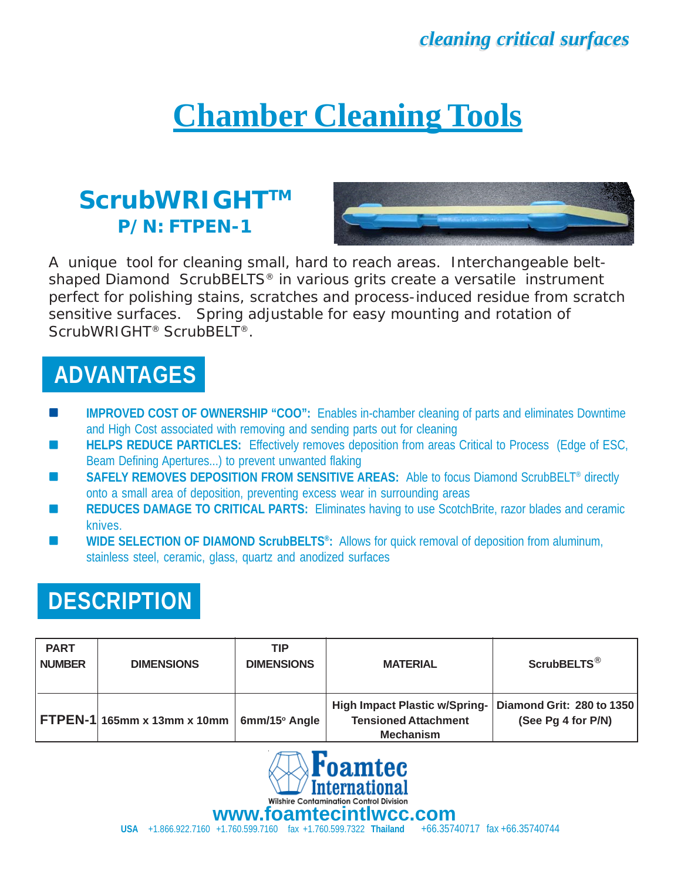# **Chamber Cleaning Tools**

#### **ScrubWRIGHTTM P/N: FTPEN-1**



A unique tool for cleaning small, hard to reach areas. Interchangeable beltshaped Diamond ScrubBELTS<sup>®</sup> in various grits create a versatile instrument perfect for polishing stains, scratches and process-induced residue from scratch sensitive surfaces. Spring adjustable for easy mounting and rotation of ScrubWRIGHT® ScrubBELT®.

# **ADVANTAGES**

- **IMPROVED COST OF OWNERSHIP "COO":** Enables in-chamber cleaning of parts and eliminates Downtime and High Cost associated with removing and sending parts out for cleaning
- **HELPS REDUCE PARTICLES:** Effectively removes deposition from areas Critical to Process (Edge of ESC, Beam Defining Apertures...) to prevent unwanted flaking
- SAFELY REMOVES DEPOSITION FROM SENSITIVE AREAS: Able to focus Diamond ScrubBELT<sup>®</sup> directly onto a small area of deposition, preventing excess wear in surrounding areas
- REDUCES DAMAGE TO CRITICAL PARTS: Eliminates having to use ScotchBrite, razor blades and ceramic knives.
- **WIDE SELECTION OF DIAMOND ScrubBELTS®:** Allows for quick removal of deposition from aluminum, stainless steel, ceramic, glass, quartz and anodized surfaces

## **DESCRIPTION**

| <b>PART</b><br><b>NUMBER</b> | <b>DIMENSIONS</b>              | <b>TIP</b><br><b>DIMENSIONS</b> | <b>MATERIAL</b>                                                                         | ScrubBELTS <sup>®</sup>                         |
|------------------------------|--------------------------------|---------------------------------|-----------------------------------------------------------------------------------------|-------------------------------------------------|
|                              | FTPEN-1 $165$ mm x 13mm x 10mm | $6$ mm/15 $\degree$ Angle       | <b>High Impact Plastic w/Spring-</b><br><b>Tensioned Attachment</b><br><b>Mechanism</b> | Diamond Grit: 280 to 1350<br>(See Pg 4 for P/N) |



**USA** +1.866.922.7160 +1.760.599.7160 fax +1.760.599.7322 **Thailand** +66.35740717 fax +66.35740744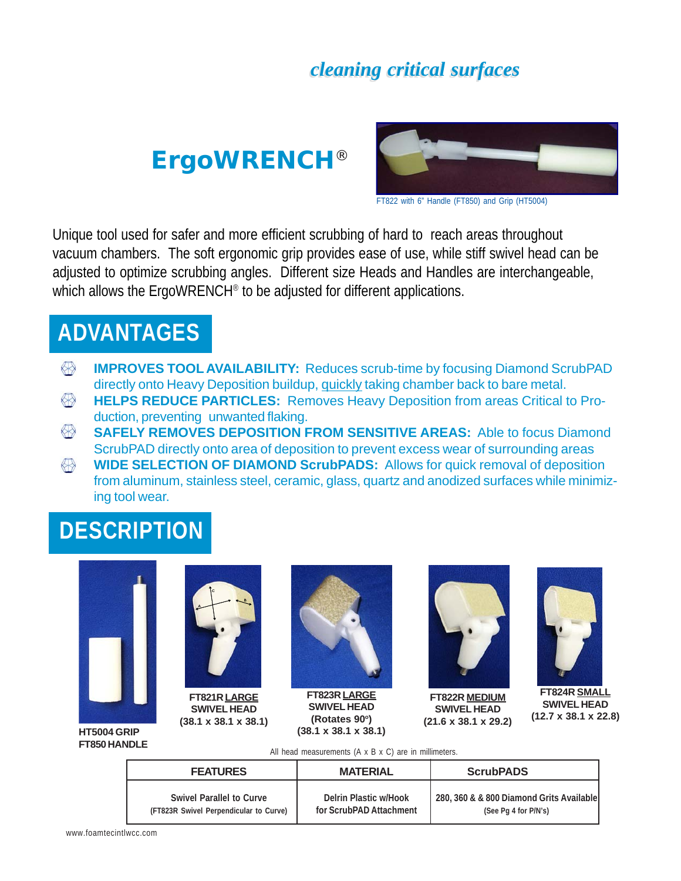# **ErgoWRENCH**®



FT822 with 6" Handle (FT850) and Grip (HT5004)

Unique tool used for safer and more efficient scrubbing of hard to reach areas throughout vacuum chambers. The soft ergonomic grip provides ease of use, while stiff swivel head can be adjusted to optimize scrubbing angles. Different size Heads and Handles are interchangeable, which allows the ErgoWRENCH<sup>®</sup> to be adjusted for different applications.

### **ADVANTAGES**

- **IMPROVES TOOL AVAILABILITY:** Reduces scrub-time by focusing Diamond ScrubPAD K directly onto Heavy Deposition buildup, quickly taking chamber back to bare metal.
- $\langle \rangle$ **HELPS REDUCE PARTICLES:** Removes Heavy Deposition from areas Critical to Production, preventing unwanted flaking.
- $\langle \rangle$ **SAFELY REMOVES DEPOSITION FROM SENSITIVE AREAS:** Able to focus Diamond ScrubPAD directly onto area of deposition to prevent excess wear of surrounding areas
- **WIDE SELECTION OF DIAMOND ScrubPADS:** Allows for quick removal of deposition  $\langle \rangle$ from aluminum, stainless steel, ceramic, glass, quartz and anodized surfaces while minimizing tool wear.

# **DESCRIPTION**





**SWIVEL HEAD (38.1 x 38.1 x 38.1)**



**FT823R LARGE SWIVEL HEAD (Rotates 90o) (38.1 x 38.1 x 38.1)**



**FT822R MEDIUM SWIVEL HEAD (21.6 x 38.1 x 29.2)**



**FT824R SMALL SWIVEL HEAD (12.7 x 38.1 x 22.8)**

**HT5004 GRIP FT850 HANDLE**

All head measurements (A x B x C) are in millimeters.

| <b>FEATURES</b>                        | <b>MATERIAL</b>         | <b>ScrubPADS</b>                         |  |
|----------------------------------------|-------------------------|------------------------------------------|--|
| <b>Swivel Parallel to Curve</b>        | Delrin Plastic w/Hook   | 280, 360 & & 800 Diamond Grits Available |  |
| (FT823R Swivel Perpendicular to Curve) | for ScrubPAD Attachment | (See Pg 4 for P/N's)                     |  |

www.foamtecintlwcc.com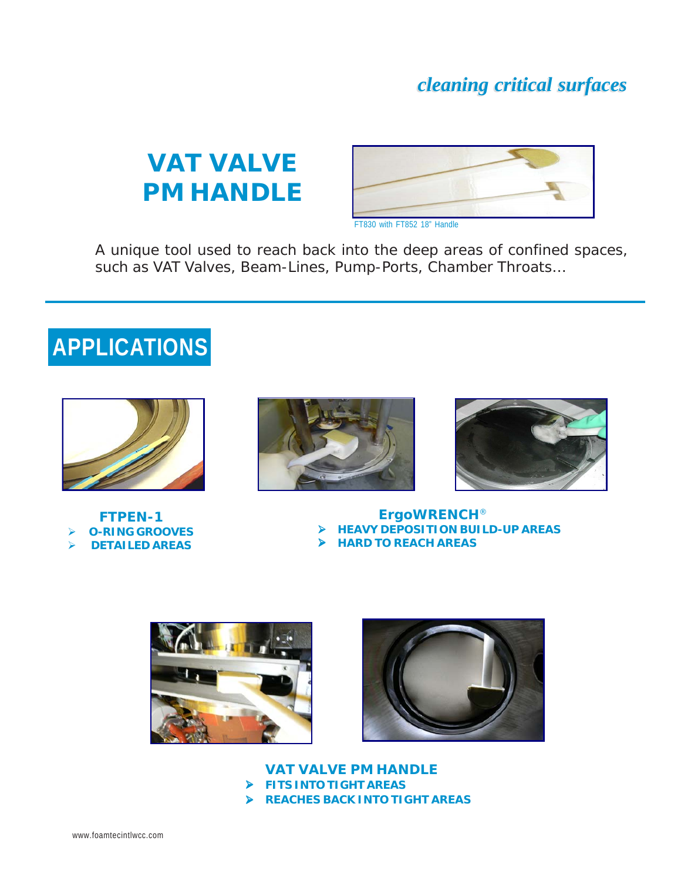# **VAT VALVE PM HANDLE**



A unique tool used to reach back into the deep areas of confined spaces, such as VAT Valves, Beam-Lines, Pump-Ports, Chamber Throats…

# **APPLICATIONS**



**FTPEN-1** ¾ **O-RING GROOVES** ¾ **DETAILED AREAS**





**ErgoWRENCH**® ¾ **HEAVY DEPOSITION BUILD-UP AREAS**

¾ **HARD TO REACH AREAS**





**VAT VALVE PM HANDLE** ¾ **FITS INTO TIGHT AREAS** ¾ **REACHES BACK INTO TIGHT AREAS**